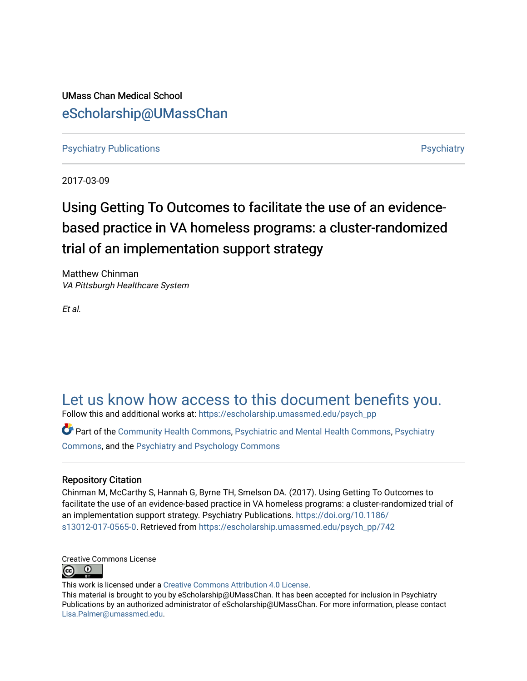UMass Chan Medical School [eScholarship@UMassChan](https://escholarship.umassmed.edu/) 

[Psychiatry Publications](https://escholarship.umassmed.edu/psych_pp) **Provides** [Psychiatry](https://escholarship.umassmed.edu/psychiatry) Publications **Psychiatry** 

2017-03-09

# Using Getting To Outcomes to facilitate the use of an evidencebased practice in VA homeless programs: a cluster-randomized trial of an implementation support strategy

Matthew Chinman VA Pittsburgh Healthcare System

Et al.

## [Let us know how access to this document benefits you.](https://arcsapps.umassmed.edu/redcap/surveys/?s=XWRHNF9EJE)

Follow this and additional works at: [https://escholarship.umassmed.edu/psych\\_pp](https://escholarship.umassmed.edu/psych_pp?utm_source=escholarship.umassmed.edu%2Fpsych_pp%2F742&utm_medium=PDF&utm_campaign=PDFCoverPages) 

Part of the [Community Health Commons,](http://network.bepress.com/hgg/discipline/714?utm_source=escholarship.umassmed.edu%2Fpsych_pp%2F742&utm_medium=PDF&utm_campaign=PDFCoverPages) [Psychiatric and Mental Health Commons](http://network.bepress.com/hgg/discipline/711?utm_source=escholarship.umassmed.edu%2Fpsych_pp%2F742&utm_medium=PDF&utm_campaign=PDFCoverPages), [Psychiatry](http://network.bepress.com/hgg/discipline/704?utm_source=escholarship.umassmed.edu%2Fpsych_pp%2F742&utm_medium=PDF&utm_campaign=PDFCoverPages) [Commons](http://network.bepress.com/hgg/discipline/704?utm_source=escholarship.umassmed.edu%2Fpsych_pp%2F742&utm_medium=PDF&utm_campaign=PDFCoverPages), and the [Psychiatry and Psychology Commons](http://network.bepress.com/hgg/discipline/908?utm_source=escholarship.umassmed.edu%2Fpsych_pp%2F742&utm_medium=PDF&utm_campaign=PDFCoverPages) 

## Repository Citation

Chinman M, McCarthy S, Hannah G, Byrne TH, Smelson DA. (2017). Using Getting To Outcomes to facilitate the use of an evidence-based practice in VA homeless programs: a cluster-randomized trial of an implementation support strategy. Psychiatry Publications. [https://doi.org/10.1186/](https://doi.org/10.1186/s13012-017-0565-0) [s13012-017-0565-0](https://doi.org/10.1186/s13012-017-0565-0). Retrieved from [https://escholarship.umassmed.edu/psych\\_pp/742](https://escholarship.umassmed.edu/psych_pp/742?utm_source=escholarship.umassmed.edu%2Fpsych_pp%2F742&utm_medium=PDF&utm_campaign=PDFCoverPages) 



This work is licensed under a [Creative Commons Attribution 4.0 License](http://creativecommons.org/licenses/by/4.0/).

This material is brought to you by eScholarship@UMassChan. It has been accepted for inclusion in Psychiatry Publications by an authorized administrator of eScholarship@UMassChan. For more information, please contact [Lisa.Palmer@umassmed.edu](mailto:Lisa.Palmer@umassmed.edu).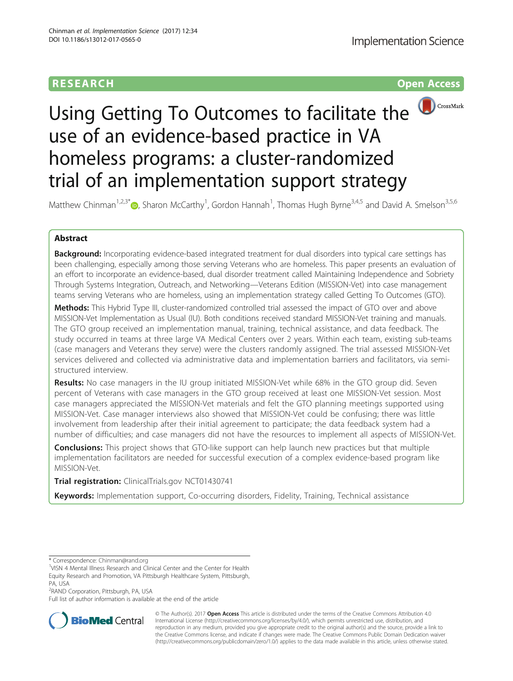## **RESEARCH RESEARCH** *CHECK <b>CHECK*



Matthew Chinman<sup>1[,](http://orcid.org/0000-0001-5390-8723)2,3\*</sup> (D, Sharon McCarthy<sup>1</sup>, Gordon Hannah<sup>1</sup>, Thomas Hugh Byrne<sup>3,4,5</sup> and David A. Smelson<sup>3,5,6</sup>

## Abstract

**Background:** Incorporating evidence-based integrated treatment for dual disorders into typical care settings has been challenging, especially among those serving Veterans who are homeless. This paper presents an evaluation of an effort to incorporate an evidence-based, dual disorder treatment called Maintaining Independence and Sobriety Through Systems Integration, Outreach, and Networking—Veterans Edition (MISSION-Vet) into case management teams serving Veterans who are homeless, using an implementation strategy called Getting To Outcomes (GTO).

Methods: This Hybrid Type III, cluster-randomized controlled trial assessed the impact of GTO over and above MISSION-Vet Implementation as Usual (IU). Both conditions received standard MISSION-Vet training and manuals. The GTO group received an implementation manual, training, technical assistance, and data feedback. The study occurred in teams at three large VA Medical Centers over 2 years. Within each team, existing sub-teams (case managers and Veterans they serve) were the clusters randomly assigned. The trial assessed MISSION-Vet services delivered and collected via administrative data and implementation barriers and facilitators, via semistructured interview.

**Results:** No case managers in the IU group initiated MISSION-Vet while 68% in the GTO group did. Seven percent of Veterans with case managers in the GTO group received at least one MISSION-Vet session. Most case managers appreciated the MISSION-Vet materials and felt the GTO planning meetings supported using MISSION-Vet. Case manager interviews also showed that MISSION-Vet could be confusing; there was little involvement from leadership after their initial agreement to participate; the data feedback system had a number of difficulties; and case managers did not have the resources to implement all aspects of MISSION-Vet.

Conclusions: This project shows that GTO-like support can help launch new practices but that multiple implementation facilitators are needed for successful execution of a complex evidence-based program like MISSION-Vet.

## Trial registration: ClinicalTrials.gov [NCT01430741](https://clinicaltrials.gov/ct2/show/study/NCT01430741?term=sdp+11-240&rank=1)

Keywords: Implementation support, Co-occurring disorders, Fidelity, Training, Technical assistance

<sup>2</sup>RAND Corporation, Pittsburgh, PA, USA

Full list of author information is available at the end of the article



© The Author(s). 2017 **Open Access** This article is distributed under the terms of the Creative Commons Attribution 4.0 International License [\(http://creativecommons.org/licenses/by/4.0/](http://creativecommons.org/licenses/by/4.0/)), which permits unrestricted use, distribution, and reproduction in any medium, provided you give appropriate credit to the original author(s) and the source, provide a link to the Creative Commons license, and indicate if changes were made. The Creative Commons Public Domain Dedication waiver [\(http://creativecommons.org/publicdomain/zero/1.0/](http://creativecommons.org/publicdomain/zero/1.0/)) applies to the data made available in this article, unless otherwise stated.

<sup>\*</sup> Correspondence: [Chinman@rand.org](mailto:Chinman@rand.org) <sup>1</sup>

<sup>&</sup>lt;sup>1</sup>VISN 4 Mental Illness Research and Clinical Center and the Center for Health Equity Research and Promotion, VA Pittsburgh Healthcare System, Pittsburgh, PA, USA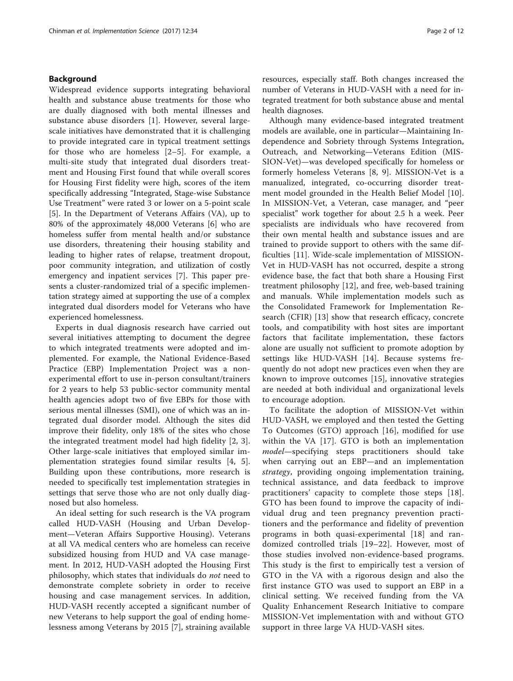## Background

Widespread evidence supports integrating behavioral health and substance abuse treatments for those who are dually diagnosed with both mental illnesses and substance abuse disorders [[1\]](#page-11-0). However, several largescale initiatives have demonstrated that it is challenging to provide integrated care in typical treatment settings for those who are homeless [[2](#page-11-0)–[5\]](#page-11-0). For example, a multi-site study that integrated dual disorders treatment and Housing First found that while overall scores for Housing First fidelity were high, scores of the item specifically addressing "Integrated, Stage-wise Substance Use Treatment" were rated 3 or lower on a 5-point scale [[5\]](#page-11-0). In the Department of Veterans Affairs (VA), up to 80% of the approximately 48,000 Veterans [\[6](#page-11-0)] who are homeless suffer from mental health and/or substance use disorders, threatening their housing stability and leading to higher rates of relapse, treatment dropout, poor community integration, and utilization of costly emergency and inpatient services [\[7](#page-11-0)]. This paper presents a cluster-randomized trial of a specific implementation strategy aimed at supporting the use of a complex integrated dual disorders model for Veterans who have experienced homelessness.

Experts in dual diagnosis research have carried out several initiatives attempting to document the degree to which integrated treatments were adopted and implemented. For example, the National Evidence-Based Practice (EBP) Implementation Project was a nonexperimental effort to use in-person consultant/trainers for 2 years to help 53 public-sector community mental health agencies adopt two of five EBPs for those with serious mental illnesses (SMI), one of which was an integrated dual disorder model. Although the sites did improve their fidelity, only 18% of the sites who chose the integrated treatment model had high fidelity [\[2](#page-11-0), [3](#page-11-0)]. Other large-scale initiatives that employed similar implementation strategies found similar results [\[4, 5](#page-11-0)]. Building upon these contributions, more research is needed to specifically test implementation strategies in settings that serve those who are not only dually diagnosed but also homeless.

An ideal setting for such research is the VA program called HUD-VASH (Housing and Urban Development—Veteran Affairs Supportive Housing). Veterans at all VA medical centers who are homeless can receive subsidized housing from HUD and VA case management. In 2012, HUD-VASH adopted the Housing First philosophy, which states that individuals do not need to demonstrate complete sobriety in order to receive housing and case management services. In addition, HUD-VASH recently accepted a significant number of new Veterans to help support the goal of ending homelessness among Veterans by 2015 [[7](#page-11-0)], straining available resources, especially staff. Both changes increased the number of Veterans in HUD-VASH with a need for integrated treatment for both substance abuse and mental health diagnoses.

Although many evidence-based integrated treatment models are available, one in particular—Maintaining Independence and Sobriety through Systems Integration, Outreach, and Networking—Veterans Edition (MIS-SION-Vet)—was developed specifically for homeless or formerly homeless Veterans [[8, 9\]](#page-11-0). MISSION-Vet is a manualized, integrated, co-occurring disorder treatment model grounded in the Health Belief Model [\[10](#page-11-0)]. In MISSION-Vet, a Veteran, case manager, and "peer specialist" work together for about 2.5 h a week. Peer specialists are individuals who have recovered from their own mental health and substance issues and are trained to provide support to others with the same difficulties [[11\]](#page-11-0). Wide-scale implementation of MISSION-Vet in HUD-VASH has not occurred, despite a strong evidence base, the fact that both share a Housing First treatment philosophy [[12\]](#page-11-0), and free, web-based training and manuals. While implementation models such as the Consolidated Framework for Implementation Research (CFIR) [[13\]](#page-11-0) show that research efficacy, concrete tools, and compatibility with host sites are important factors that facilitate implementation, these factors alone are usually not sufficient to promote adoption by settings like HUD-VASH [[14](#page-11-0)]. Because systems frequently do not adopt new practices even when they are known to improve outcomes [[15\]](#page-11-0), innovative strategies are needed at both individual and organizational levels to encourage adoption.

To facilitate the adoption of MISSION-Vet within HUD-VASH, we employed and then tested the Getting To Outcomes (GTO) approach [\[16](#page-11-0)], modified for use within the VA [[17](#page-11-0)]. GTO is both an implementation model—specifying steps practitioners should take when carrying out an EBP—and an implementation strategy, providing ongoing implementation training, technical assistance, and data feedback to improve practitioners' capacity to complete those steps [[18](#page-11-0)]. GTO has been found to improve the capacity of individual drug and teen pregnancy prevention practitioners and the performance and fidelity of prevention programs in both quasi-experimental [\[18](#page-11-0)] and randomized controlled trials [\[19](#page-11-0)–[22\]](#page-11-0). However, most of those studies involved non-evidence-based programs. This study is the first to empirically test a version of GTO in the VA with a rigorous design and also the first instance GTO was used to support an EBP in a clinical setting. We received funding from the VA Quality Enhancement Research Initiative to compare MISSION-Vet implementation with and without GTO support in three large VA HUD-VASH sites.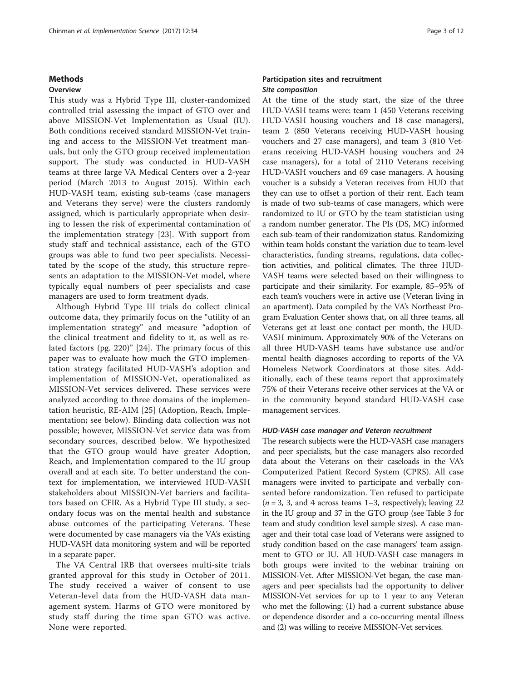## Methods

## **Overview**

This study was a Hybrid Type III, cluster-randomized controlled trial assessing the impact of GTO over and above MISSION-Vet Implementation as Usual (IU). Both conditions received standard MISSION-Vet training and access to the MISSION-Vet treatment manuals, but only the GTO group received implementation support. The study was conducted in HUD-VASH teams at three large VA Medical Centers over a 2-year period (March 2013 to August 2015). Within each HUD-VASH team, existing sub-teams (case managers and Veterans they serve) were the clusters randomly assigned, which is particularly appropriate when desiring to lessen the risk of experimental contamination of the implementation strategy [[23\]](#page-11-0). With support from study staff and technical assistance, each of the GTO groups was able to fund two peer specialists. Necessitated by the scope of the study, this structure represents an adaptation to the MISSION-Vet model, where typically equal numbers of peer specialists and case managers are used to form treatment dyads.

Although Hybrid Type III trials do collect clinical outcome data, they primarily focus on the "utility of an implementation strategy" and measure "adoption of the clinical treatment and fidelity to it, as well as related factors (pg. 220)" [\[24](#page-11-0)]. The primary focus of this paper was to evaluate how much the GTO implementation strategy facilitated HUD-VASH's adoption and implementation of MISSION-Vet, operationalized as MISSION-Vet services delivered. These services were analyzed according to three domains of the implementation heuristic, RE-AIM [[25\]](#page-11-0) (Adoption, Reach, Implementation; see below). Blinding data collection was not possible; however, MISSION-Vet service data was from secondary sources, described below. We hypothesized that the GTO group would have greater Adoption, Reach, and Implementation compared to the IU group overall and at each site. To better understand the context for implementation, we interviewed HUD-VASH stakeholders about MISSION-Vet barriers and facilitators based on CFIR. As a Hybrid Type III study, a secondary focus was on the mental health and substance abuse outcomes of the participating Veterans. These were documented by case managers via the VA's existing HUD-VASH data monitoring system and will be reported in a separate paper.

The VA Central IRB that oversees multi-site trials granted approval for this study in October of 2011. The study received a waiver of consent to use Veteran-level data from the HUD-VASH data management system. Harms of GTO were monitored by study staff during the time span GTO was active. None were reported.

## Participation sites and recruitment Site composition

At the time of the study start, the size of the three HUD-VASH teams were: team 1 (450 Veterans receiving HUD-VASH housing vouchers and 18 case managers), team 2 (850 Veterans receiving HUD-VASH housing vouchers and 27 case managers), and team 3 (810 Veterans receiving HUD-VASH housing vouchers and 24 case managers), for a total of 2110 Veterans receiving HUD-VASH vouchers and 69 case managers. A housing voucher is a subsidy a Veteran receives from HUD that they can use to offset a portion of their rent. Each team is made of two sub-teams of case managers, which were randomized to IU or GTO by the team statistician using a random number generator. The PIs (DS, MC) informed each sub-team of their randomization status. Randomizing within team holds constant the variation due to team-level characteristics, funding streams, regulations, data collection activities, and political climates. The three HUD-VASH teams were selected based on their willingness to participate and their similarity. For example, 85–95% of each team's vouchers were in active use (Veteran living in an apartment). Data compiled by the VA's Northeast Program Evaluation Center shows that, on all three teams, all Veterans get at least one contact per month, the HUD-VASH minimum. Approximately 90% of the Veterans on all three HUD-VASH teams have substance use and/or mental health diagnoses according to reports of the VA Homeless Network Coordinators at those sites. Additionally, each of these teams report that approximately 75% of their Veterans receive other services at the VA or in the community beyond standard HUD-VASH case management services.

## HUD-VASH case manager and Veteran recruitment

The research subjects were the HUD-VASH case managers and peer specialists, but the case managers also recorded data about the Veterans on their caseloads in the VA's Computerized Patient Record System (CPRS). All case managers were invited to participate and verbally consented before randomization. Ten refused to participate  $(n=3, 3,$  and 4 across teams 1–3, respectively); leaving 22 in the IU group and 37 in the GTO group (see Table [3](#page-7-0) for team and study condition level sample sizes). A case manager and their total case load of Veterans were assigned to study condition based on the case managers' team assignment to GTO or IU. All HUD-VASH case managers in both groups were invited to the webinar training on MISSION-Vet. After MISSION-Vet began, the case managers and peer specialists had the opportunity to deliver MISSION-Vet services for up to 1 year to any Veteran who met the following: (1) had a current substance abuse or dependence disorder and a co-occurring mental illness and (2) was willing to receive MISSION-Vet services.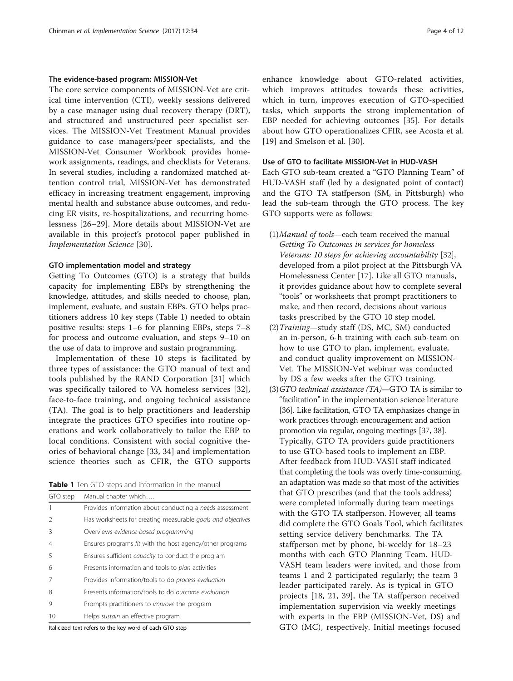## The evidence-based program: MISSION-Vet

The core service components of MISSION-Vet are critical time intervention (CTI), weekly sessions delivered by a case manager using dual recovery therapy (DRT), and structured and unstructured peer specialist services. The MISSION-Vet Treatment Manual provides guidance to case managers/peer specialists, and the MISSION-Vet Consumer Workbook provides homework assignments, readings, and checklists for Veterans. In several studies, including a randomized matched attention control trial, MISSION-Vet has demonstrated efficacy in increasing treatment engagement, improving mental health and substance abuse outcomes, and reducing ER visits, re-hospitalizations, and recurring homelessness [\[26](#page-11-0)–[29](#page-11-0)]. More details about MISSION-Vet are available in this project's protocol paper published in Implementation Science [[30\]](#page-11-0).

## GTO implementation model and strategy

Getting To Outcomes (GTO) is a strategy that builds capacity for implementing EBPs by strengthening the knowledge, attitudes, and skills needed to choose, plan, implement, evaluate, and sustain EBPs. GTO helps practitioners address 10 key steps (Table 1) needed to obtain positive results: steps 1–6 for planning EBPs, steps 7–8 for process and outcome evaluation, and steps 9–10 on the use of data to improve and sustain programming.

Implementation of these 10 steps is facilitated by three types of assistance: the GTO manual of text and tools published by the RAND Corporation [[31](#page-11-0)] which was specifically tailored to VA homeless services [[32](#page-12-0)], face-to-face training, and ongoing technical assistance (TA). The goal is to help practitioners and leadership integrate the practices GTO specifies into routine operations and work collaboratively to tailor the EBP to local conditions. Consistent with social cognitive theories of behavioral change [[33, 34](#page-12-0)] and implementation science theories such as CFIR, the GTO supports

| Table 1 Ten GTO steps and information in the manual |  |
|-----------------------------------------------------|--|
|-----------------------------------------------------|--|

| GTO step | Manual chapter which                                        |
|----------|-------------------------------------------------------------|
|          | Provides information about conducting a needs assessment    |
| 2        | Has worksheets for creating measurable goals and objectives |
| Β        | Overviews evidence-based programming                        |
| 4        | Ensures programs fit with the host agency/other programs    |
| 5        | Ensures sufficient <i>capacity</i> to conduct the program   |
| 6        | Presents information and tools to plan activities           |
| 7        | Provides information/tools to do process evaluation         |
| 8        | Presents information/tools to do outcome evaluation         |
| 9        | Prompts practitioners to <i>improve</i> the program         |
| 10       | Helps sustain an effective program                          |

Italicized text refers to the key word of each GTO step

enhance knowledge about GTO-related activities, which improves attitudes towards these activities, which in turn, improves execution of GTO-specified tasks, which supports the strong implementation of EBP needed for achieving outcomes [[35\]](#page-12-0). For details about how GTO operationalizes CFIR, see Acosta et al. [[19](#page-11-0)] and Smelson et al. [[30](#page-11-0)].

## Use of GTO to facilitate MISSION-Vet in HUD-VASH

Each GTO sub-team created a "GTO Planning Team" of HUD-VASH staff (led by a designated point of contact) and the GTO TA staffperson (SM, in Pittsburgh) who lead the sub-team through the GTO process. The key GTO supports were as follows:

- $(1)$ *Manual of tools*—each team received the manual Getting To Outcomes in services for homeless Veterans: 10 steps for achieving accountability [[32](#page-12-0)],<br>developed from a pilot project at the Pittsburgh V developed from a pilot project at the Pittsburgh VA Homelessness Center [\[17](#page-11-0)]. Like all GTO manuals, it provides guidance about how to complete several "tools" or worksheets that prompt practitioners to make, and then record, decisions about various tasks prescribed by the GTO 10 step model.
- (2)Training—study staff (DS, MC, SM) conducted an in-person, 6-h training with each sub-team on how to use GTO to plan, implement, evaluate, and conduct quality improvement on MISSION-Vet. The MISSION-Vet webinar was conducted by DS a few weeks after the GTO training.
- $(3)GTO$  technical assistance  $(TA)$ —GTO TA is similar to "facilitation" in the implementation science literature [\[36\]](#page-12-0). Like facilitation, GTO TA emphasizes change in work practices through encouragement and action promotion via regular, ongoing meetings [\[37,](#page-12-0) [38](#page-12-0)]. Typically, GTO TA providers guide practitioners to use GTO-based tools to implement an EBP. After feedback from HUD-VASH staff indicated that completing the tools was overly time-consuming, an adaptation was made so that most of the activities that GTO prescribes (and that the tools address) were completed informally during team meetings with the GTO TA staffperson. However, all teams did complete the GTO Goals Tool, which facilitates setting service delivery benchmarks. The TA staffperson met by phone, bi-weekly for 18–23 months with each GTO Planning Team. HUD-VASH team leaders were invited, and those from teams 1 and 2 participated regularly; the team 3 leader participated rarely. As is typical in GTO projects [[18,](#page-11-0) [21,](#page-11-0) [39\]](#page-12-0), the TA staffperson received implementation supervision via weekly meetings with experts in the EBP (MISSION-Vet, DS) and GTO (MC), respectively. Initial meetings focused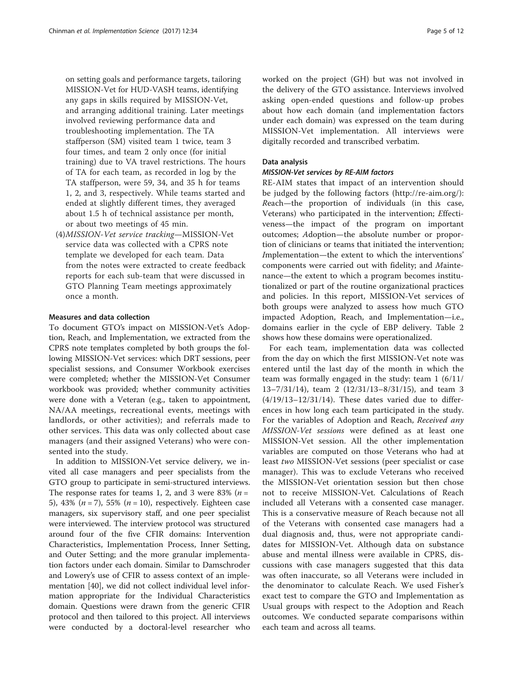on setting goals and performance targets, tailoring MISSION-Vet for HUD-VASH teams, identifying any gaps in skills required by MISSION-Vet, and arranging additional training. Later meetings involved reviewing performance data and troubleshooting implementation. The TA staffperson (SM) visited team 1 twice, team 3 four times, and team 2 only once (for initial training) due to VA travel restrictions. The hours of TA for each team, as recorded in log by the TA staffperson, were 59, 34, and 35 h for teams 1, 2, and 3, respectively. While teams started and ended at slightly different times, they averaged about 1.5 h of technical assistance per month, or about two meetings of 45 min.

(4)MISSION-Vet service tracking—MISSION-Vet service data was collected with a CPRS note template we developed for each team. Data from the notes were extracted to create feedback reports for each sub-team that were discussed in GTO Planning Team meetings approximately once a month.

## Measures and data collection

To document GTO's impact on MISSION-Vet's Adoption, Reach, and Implementation, we extracted from the CPRS note templates completed by both groups the following MISSION-Vet services: which DRT sessions, peer specialist sessions, and Consumer Workbook exercises were completed; whether the MISSION-Vet Consumer workbook was provided; whether community activities were done with a Veteran (e.g., taken to appointment, NA/AA meetings, recreational events, meetings with landlords, or other activities); and referrals made to other services. This data was only collected about case managers (and their assigned Veterans) who were consented into the study.

In addition to MISSION-Vet service delivery, we invited all case managers and peer specialists from the GTO group to participate in semi-structured interviews. The response rates for teams 1, 2, and 3 were 83% ( $n =$ 5), 43% ( $n = 7$ ), 55% ( $n = 10$ ), respectively. Eighteen case managers, six supervisory staff, and one peer specialist were interviewed. The interview protocol was structured around four of the five CFIR domains: Intervention Characteristics, Implementation Process, Inner Setting, and Outer Setting; and the more granular implementation factors under each domain. Similar to Damschroder and Lowery's use of CFIR to assess context of an implementation [\[40\]](#page-12-0), we did not collect individual level information appropriate for the Individual Characteristics domain. Questions were drawn from the generic CFIR protocol and then tailored to this project. All interviews were conducted by a doctoral-level researcher who worked on the project (GH) but was not involved in the delivery of the GTO assistance. Interviews involved asking open-ended questions and follow-up probes about how each domain (and implementation factors under each domain) was expressed on the team during MISSION-Vet implementation. All interviews were digitally recorded and transcribed verbatim.

### Data analysis

## MISSION-Vet services by RE-AIM factors

RE-AIM states that impact of an intervention should be judged by the following factors (<http://re-aim.org/>): Reach—the proportion of individuals (in this case, Veterans) who participated in the intervention; Effectiveness—the impact of the program on important outcomes; Adoption—the absolute number or proportion of clinicians or teams that initiated the intervention; Implementation—the extent to which the interventions' components were carried out with fidelity; and Maintenance—the extent to which a program becomes institutionalized or part of the routine organizational practices and policies. In this report, MISSION-Vet services of both groups were analyzed to assess how much GTO impacted Adoption, Reach, and Implementation—i.e., domains earlier in the cycle of EBP delivery. Table [2](#page-6-0) shows how these domains were operationalized.

For each team, implementation data was collected from the day on which the first MISSION-Vet note was entered until the last day of the month in which the team was formally engaged in the study: team 1 (6/11/ 13–7/31/14), team 2 (12/31/13–8/31/15), and team 3 (4/19/13–12/31/14). These dates varied due to differences in how long each team participated in the study. For the variables of Adoption and Reach, Received any MISSION-Vet sessions were defined as at least one MISSION-Vet session. All the other implementation variables are computed on those Veterans who had at least two MISSION-Vet sessions (peer specialist or case manager). This was to exclude Veterans who received the MISSION-Vet orientation session but then chose not to receive MISSION-Vet. Calculations of Reach included all Veterans with a consented case manager. This is a conservative measure of Reach because not all of the Veterans with consented case managers had a dual diagnosis and, thus, were not appropriate candidates for MISSION-Vet. Although data on substance abuse and mental illness were available in CPRS, discussions with case managers suggested that this data was often inaccurate, so all Veterans were included in the denominator to calculate Reach. We used Fisher's exact test to compare the GTO and Implementation as Usual groups with respect to the Adoption and Reach outcomes. We conducted separate comparisons within each team and across all teams.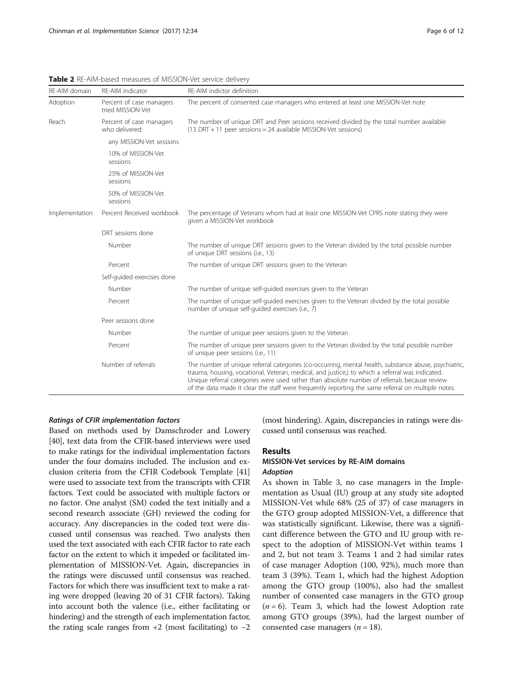| RE-AIM domain  | RE-AIM indicator                              | RE-AIM indictor definition                                                                                                                                                                                                                                                                                                                                                                                   |  |  |  |  |  |
|----------------|-----------------------------------------------|--------------------------------------------------------------------------------------------------------------------------------------------------------------------------------------------------------------------------------------------------------------------------------------------------------------------------------------------------------------------------------------------------------------|--|--|--|--|--|
| Adoption       | Percent of case managers<br>tried MISSION-Vet | The percent of consented case managers who entered at least one MISSION-Vet note                                                                                                                                                                                                                                                                                                                             |  |  |  |  |  |
| Reach          | Percent of case managers<br>who delivered:    | The number of unique DRT and Peer sessions received divided by the total number available<br>$(13$ DRT + 11 peer sessions = 24 available MISSION-Vet sessions)                                                                                                                                                                                                                                               |  |  |  |  |  |
|                | any MISSION-Vet sessions                      |                                                                                                                                                                                                                                                                                                                                                                                                              |  |  |  |  |  |
|                | 10% of MISSION-Vet<br>sessions                |                                                                                                                                                                                                                                                                                                                                                                                                              |  |  |  |  |  |
|                | 25% of MISSION-Vet<br>sessions                |                                                                                                                                                                                                                                                                                                                                                                                                              |  |  |  |  |  |
|                | 50% of MISSION-Vet<br>sessions                |                                                                                                                                                                                                                                                                                                                                                                                                              |  |  |  |  |  |
| Implementation | Percent Received workbook                     | The percentage of Veterans whom had at least one MISSION-Vet CPRS note stating they were<br>given a MISSION-Vet workbook                                                                                                                                                                                                                                                                                     |  |  |  |  |  |
|                | DRT sessions done                             |                                                                                                                                                                                                                                                                                                                                                                                                              |  |  |  |  |  |
|                | Number                                        | The number of unique DRT sessions given to the Veteran divided by the total possible number<br>of unique DRT sessions (i.e., 13)                                                                                                                                                                                                                                                                             |  |  |  |  |  |
|                | Percent                                       | The number of unique DRT sessions given to the Veteran                                                                                                                                                                                                                                                                                                                                                       |  |  |  |  |  |
|                | Self-quided exercises done                    |                                                                                                                                                                                                                                                                                                                                                                                                              |  |  |  |  |  |
|                | Number                                        | The number of unique self-quided exercises given to the Veteran                                                                                                                                                                                                                                                                                                                                              |  |  |  |  |  |
|                | Percent                                       | The number of unique self-quided exercises given to the Veteran divided by the total possible<br>number of unique self-quided exercises (i.e., 7)                                                                                                                                                                                                                                                            |  |  |  |  |  |
|                | Peer sessions done                            |                                                                                                                                                                                                                                                                                                                                                                                                              |  |  |  |  |  |
|                | Number                                        | The number of unique peer sessions given to the Veteran                                                                                                                                                                                                                                                                                                                                                      |  |  |  |  |  |
|                | Percent                                       | The number of unique peer sessions given to the Veteran divided by the total possible number<br>of unique peer sessions (i.e., 11)                                                                                                                                                                                                                                                                           |  |  |  |  |  |
|                | Number of referrals                           | The number of unique referral categories (co-occurring, mental health, substance abuse, psychiatric<br>trauma, housing, vocational, Veteran, medical, and justice,) to which a referral was indicated.<br>Unique referral categories were used rather than absolute number of referrals because review<br>of the data made it clear the staff were frequently reporting the same referral on multiple notes. |  |  |  |  |  |

<span id="page-6-0"></span>Table 2 RE-AIM-based measures of MISSION-Vet service delivery

### Ratings of CFIR implementation factors

Based on methods used by Damschroder and Lowery [[40](#page-12-0)], text data from the CFIR-based interviews were used to make ratings for the individual implementation factors under the four domains included. The inclusion and exclusion criteria from the CFIR Codebook Template [[41](#page-12-0)] were used to associate text from the transcripts with CFIR factors. Text could be associated with multiple factors or no factor. One analyst (SM) coded the text initially and a second research associate (GH) reviewed the coding for accuracy. Any discrepancies in the coded text were discussed until consensus was reached. Two analysts then used the text associated with each CFIR factor to rate each factor on the extent to which it impeded or facilitated implementation of MISSION-Vet. Again, discrepancies in the ratings were discussed until consensus was reached. Factors for which there was insufficient text to make a rating were dropped (leaving 20 of 31 CFIR factors). Taking into account both the valence (i.e., either facilitating or hindering) and the strength of each implementation factor, the rating scale ranges from  $+2$  (most facilitating) to  $-2$ 

(most hindering). Again, discrepancies in ratings were discussed until consensus was reached.

## Results

## MISSION-Vet services by RE-AIM domains Adoption

As shown in Table [3,](#page-7-0) no case managers in the Implementation as Usual (IU) group at any study site adopted MISSION-Vet while 68% (25 of 37) of case managers in the GTO group adopted MISSION-Vet, a difference that was statistically significant. Likewise, there was a significant difference between the GTO and IU group with respect to the adoption of MISSION-Vet within teams 1 and 2, but not team 3. Teams 1 and 2 had similar rates of case manager Adoption (100, 92%), much more than team 3 (39%). Team 1, which had the highest Adoption among the GTO group (100%), also had the smallest number of consented case managers in the GTO group  $(n = 6)$ . Team 3, which had the lowest Adoption rate among GTO groups (39%), had the largest number of consented case managers ( $n = 18$ ).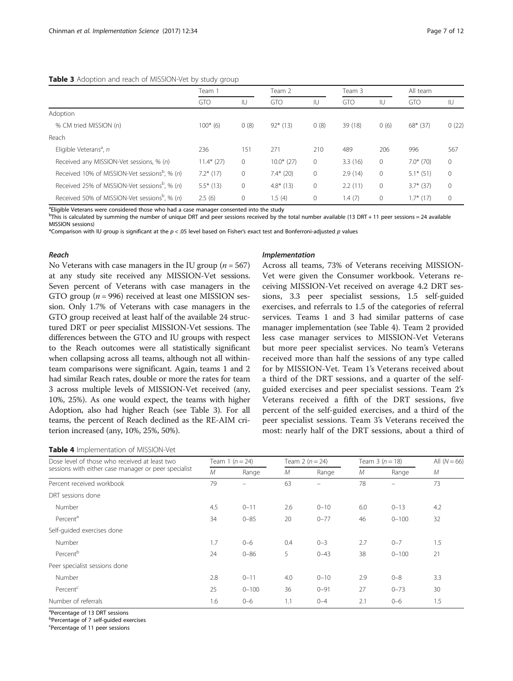## <span id="page-7-0"></span>Table 3 Adoption and reach of MISSION-Vet by study group

|                                                           | Team 1       |          | Team 2       |              | Team 3  |              | All team    |              |
|-----------------------------------------------------------|--------------|----------|--------------|--------------|---------|--------------|-------------|--------------|
|                                                           | <b>GTO</b>   | IU       | GTO          | IU           | GTO     | IU           | GTO         | IU           |
| Adoption                                                  |              |          |              |              |         |              |             |              |
| % CM tried MISSION (n)                                    | $100*(6)$    | 0(8)     | $92*(13)$    | 0(8)         | 39 (18) | 0(6)         | $68*(37)$   | 0(22)        |
| Reach                                                     |              |          |              |              |         |              |             |              |
| Eligible Veterans <sup>a</sup> , n                        | 236          | 151      | 271          | 210          | 489     | 206          | 996         | 567          |
| Received any MISSION-Vet sessions, % (n)                  | $11.4*$ (27) | $\Omega$ | $10.0*$ (27) | $\mathbf{0}$ | 3.3(16) | $\circ$      | $7.0*(70)$  | $\mathbf{0}$ |
| Received 10% of MISSION-Vet sessions <sup>b</sup> , % (n) | $7.2*$ (17)  | 0        | $7.4*$ (20)  | 0            | 2.9(14) | $\mathbf{0}$ | $5.1*$ (51) | $\mathbf{0}$ |
| Received 25% of MISSION-Vet sessions <sup>b</sup> , % (n) | $5.5*$ (13)  | 0        | $4.8*$ (13)  | 0            | 2.2(11) | $\mathbf{0}$ | $3.7*$ (37) | $\mathbf{0}$ |
| Received 50% of MISSION-Vet sessions <sup>b</sup> , % (n) | 2.5(6)       | 0        | 1.5(4)       | 0            | 1.4(7)  | $\mathbf{0}$ | $1.7*$ (17) | $\mathbf{0}$ |

<sup>a</sup>Eligible Veterans were considered those who had a case manager consented into the study

<sup>b</sup>This is calculated by summing the number of unique DRT and peer sessions received by the total number available (13 DRT + 11 peer sessions = 24 available MISSION sessions)

\*Comparison with IU group is significant at the  $p < 0.05$  level based on Fisher's exact test and Bonferroni-adjusted p values

### Reach

No Veterans with case managers in the IU group ( $n = 567$ ) at any study site received any MISSION-Vet sessions. Seven percent of Veterans with case managers in the GTO group ( $n = 996$ ) received at least one MISSION session. Only 1.7% of Veterans with case managers in the GTO group received at least half of the available 24 structured DRT or peer specialist MISSION-Vet sessions. The differences between the GTO and IU groups with respect to the Reach outcomes were all statistically significant when collapsing across all teams, although not all withinteam comparisons were significant. Again, teams 1 and 2 had similar Reach rates, double or more the rates for team 3 across multiple levels of MISSION-Vet received (any, 10%, 25%). As one would expect, the teams with higher Adoption, also had higher Reach (see Table 3). For all teams, the percent of Reach declined as the RE-AIM criterion increased (any, 10%, 25%, 50%).

#### Implementation

Across all teams, 73% of Veterans receiving MISSION-Vet were given the Consumer workbook. Veterans receiving MISSION-Vet received on average 4.2 DRT sessions, 3.3 peer specialist sessions, 1.5 self-guided exercises, and referrals to 1.5 of the categories of referral services. Teams 1 and 3 had similar patterns of case manager implementation (see Table 4). Team 2 provided less case manager services to MISSION-Vet Veterans but more peer specialist services. No team's Veterans received more than half the sessions of any type called for by MISSION-Vet. Team 1's Veterans received about a third of the DRT sessions, and a quarter of the selfguided exercises and peer specialist sessions. Team 2's Veterans received a fifth of the DRT sessions, five percent of the self-guided exercises, and a third of the peer specialist sessions. Team 3's Veterans received the most: nearly half of the DRT sessions, about a third of

## Table 4 Implementation of MISSION-Vet

| Dose level of those who received at least two        | Team 1 ( $n = 24$ ) |           | Team 2 $(n = 24)$ |          | Team 3 $(n = 18)$ |           | All $(N = 66)$ |  |
|------------------------------------------------------|---------------------|-----------|-------------------|----------|-------------------|-----------|----------------|--|
| sessions with either case manager or peer specialist | M                   | Range     | М                 | Range    | M                 | Range     | М              |  |
| Percent received workbook                            | 79                  |           | 63                |          | 78                |           | 73             |  |
| DRT sessions done                                    |                     |           |                   |          |                   |           |                |  |
| Number                                               | 4.5                 | $0 - 11$  | 2.6               | $0 - 10$ | 6.0               | $0 - 13$  | 4.2            |  |
| Percent <sup>a</sup>                                 | 34                  | $0 - 85$  | 20                | $0 - 77$ | 46                | $0 - 100$ | 32             |  |
| Self-quided exercises done                           |                     |           |                   |          |                   |           |                |  |
| Number                                               | 1.7                 | $0 - 6$   | 0.4               | $0 - 3$  | 2.7               | $0 - 7$   | 1.5            |  |
| Percent <sup>b</sup>                                 | 24                  | $0 - 86$  | 5                 | $0 - 43$ | 38                | $0 - 100$ | 21             |  |
| Peer specialist sessions done                        |                     |           |                   |          |                   |           |                |  |
| Number                                               | 2.8                 | $0 - 11$  | 4.0               | $0 - 10$ | 2.9               | $0 - 8$   | 3.3            |  |
| Percent <sup>c</sup>                                 | 25                  | $0 - 100$ | 36                | $0 - 91$ | 27                | $0 - 73$  | 30             |  |
| Number of referrals                                  | 1.6                 | $0 - 6$   | 1.1               | $0 - 4$  | 2.1               | $0 - 6$   | 1.5            |  |

<sup>a</sup>Percentage of 13 DRT sessions

b<br>Percentage of 7 self-guided exercises

Percentage of 11 peer sessions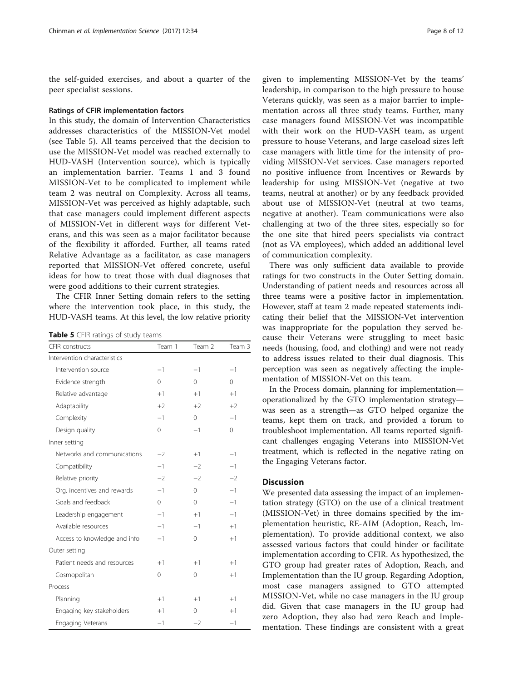the self-guided exercises, and about a quarter of the peer specialist sessions.

#### Ratings of CFIR implementation factors

In this study, the domain of Intervention Characteristics addresses characteristics of the MISSION-Vet model (see Table 5). All teams perceived that the decision to use the MISSION-Vet model was reached externally to HUD-VASH (Intervention source), which is typically an implementation barrier. Teams 1 and 3 found MISSION-Vet to be complicated to implement while team 2 was neutral on Complexity. Across all teams, MISSION-Vet was perceived as highly adaptable, such that case managers could implement different aspects of MISSION-Vet in different ways for different Veterans, and this was seen as a major facilitator because of the flexibility it afforded. Further, all teams rated Relative Advantage as a facilitator, as case managers reported that MISSION-Vet offered concrete, useful ideas for how to treat those with dual diagnoses that were good additions to their current strategies.

The CFIR Inner Setting domain refers to the setting where the intervention took place, in this study, the HUD-VASH teams. At this level, the low relative priority

Table 5 CFIR ratings of study teams

| <b>CFIR constructs</b>       | Team 1   | Team 2   | Team 3   |
|------------------------------|----------|----------|----------|
| Intervention characteristics |          |          |          |
| Intervention source          | $-1$     | $-1$     | $-1$     |
| Evidence strength            | 0        | $\Omega$ | $\Omega$ |
| Relative advantage           | $+1$     | $+1$     | $+1$     |
| Adaptability                 | $+2$     | $+2$     | $+2$     |
| Complexity                   | $-1$     | $\Omega$ | $-1$     |
| Design quality               | 0        | $-1$     | 0        |
| Inner setting                |          |          |          |
| Networks and communications  | $-2$     | $+1$     | $-1$     |
| Compatibility                | $-1$     | $-2$     | $-1$     |
| Relative priority            | $-2$     | $-2$     | $-2$     |
| Org. incentives and rewards  | $-1$     | $\Omega$ | $-1$     |
| Goals and feedback           | $\Omega$ | $\Omega$ | $-1$     |
| Leadership engagement        | $-1$     | $+1$     | $-1$     |
| Available resources          | $-1$     | $-1$     | $+1$     |
| Access to knowledge and info | $-1$     | 0        | $+1$     |
| Outer setting                |          |          |          |
| Patient needs and resources  | $+1$     | $+1$     | $+1$     |
| Cosmopolitan                 | $\Omega$ | 0        | $+1$     |
| Process                      |          |          |          |
| Planning                     | $+1$     | $+1$     | $+1$     |
| Engaging key stakeholders    | $+1$     | 0        | $+1$     |
| <b>Engaging Veterans</b>     | $-1$     | $-2$     | $-1$     |

given to implementing MISSION-Vet by the teams' leadership, in comparison to the high pressure to house Veterans quickly, was seen as a major barrier to implementation across all three study teams. Further, many case managers found MISSION-Vet was incompatible with their work on the HUD-VASH team, as urgent pressure to house Veterans, and large caseload sizes left case managers with little time for the intensity of providing MISSION-Vet services. Case managers reported no positive influence from Incentives or Rewards by leadership for using MISSION-Vet (negative at two teams, neutral at another) or by any feedback provided about use of MISSION-Vet (neutral at two teams, negative at another). Team communications were also challenging at two of the three sites, especially so for the one site that hired peers specialists via contract (not as VA employees), which added an additional level of communication complexity.

There was only sufficient data available to provide ratings for two constructs in the Outer Setting domain. Understanding of patient needs and resources across all three teams were a positive factor in implementation. However, staff at team 2 made repeated statements indicating their belief that the MISSION-Vet intervention was inappropriate for the population they served because their Veterans were struggling to meet basic needs (housing, food, and clothing) and were not ready to address issues related to their dual diagnosis. This perception was seen as negatively affecting the implementation of MISSION-Vet on this team.

In the Process domain, planning for implementation operationalized by the GTO implementation strategy was seen as a strength—as GTO helped organize the teams, kept them on track, and provided a forum to troubleshoot implementation. All teams reported significant challenges engaging Veterans into MISSION-Vet treatment, which is reflected in the negative rating on the Engaging Veterans factor.

## **Discussion**

We presented data assessing the impact of an implementation strategy (GTO) on the use of a clinical treatment (MISSION-Vet) in three domains specified by the implementation heuristic, RE-AIM (Adoption, Reach, Implementation). To provide additional context, we also assessed various factors that could hinder or facilitate implementation according to CFIR. As hypothesized, the GTO group had greater rates of Adoption, Reach, and Implementation than the IU group. Regarding Adoption, most case managers assigned to GTO attempted MISSION-Vet, while no case managers in the IU group did. Given that case managers in the IU group had zero Adoption, they also had zero Reach and Implementation. These findings are consistent with a great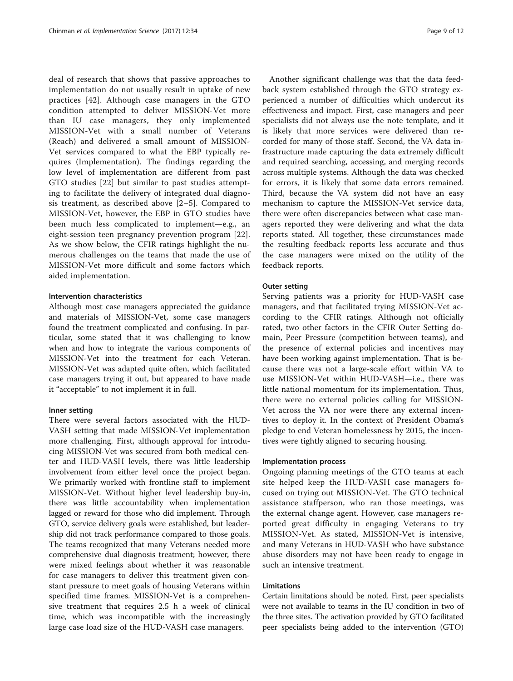deal of research that shows that passive approaches to implementation do not usually result in uptake of new practices [[42\]](#page-12-0). Although case managers in the GTO condition attempted to deliver MISSION-Vet more than IU case managers, they only implemented MISSION-Vet with a small number of Veterans (Reach) and delivered a small amount of MISSION-Vet services compared to what the EBP typically requires (Implementation). The findings regarding the low level of implementation are different from past GTO studies [[22](#page-11-0)] but similar to past studies attempting to facilitate the delivery of integrated dual diagnosis treatment, as described above [[2](#page-11-0)–[5](#page-11-0)]. Compared to MISSION-Vet, however, the EBP in GTO studies have been much less complicated to implement—e.g., an eight-session teen pregnancy prevention program [[22](#page-11-0)]. As we show below, the CFIR ratings highlight the numerous challenges on the teams that made the use of MISSION-Vet more difficult and some factors which aided implementation.

## Intervention characteristics

Although most case managers appreciated the guidance and materials of MISSION-Vet, some case managers found the treatment complicated and confusing. In particular, some stated that it was challenging to know when and how to integrate the various components of MISSION-Vet into the treatment for each Veteran. MISSION-Vet was adapted quite often, which facilitated case managers trying it out, but appeared to have made it "acceptable" to not implement it in full.

## Inner setting

There were several factors associated with the HUD-VASH setting that made MISSION-Vet implementation more challenging. First, although approval for introducing MISSION-Vet was secured from both medical center and HUD-VASH levels, there was little leadership involvement from either level once the project began. We primarily worked with frontline staff to implement MISSION-Vet. Without higher level leadership buy-in, there was little accountability when implementation lagged or reward for those who did implement. Through GTO, service delivery goals were established, but leadership did not track performance compared to those goals. The teams recognized that many Veterans needed more comprehensive dual diagnosis treatment; however, there were mixed feelings about whether it was reasonable for case managers to deliver this treatment given constant pressure to meet goals of housing Veterans within specified time frames. MISSION-Vet is a comprehensive treatment that requires 2.5 h a week of clinical time, which was incompatible with the increasingly large case load size of the HUD-VASH case managers.

Another significant challenge was that the data feedback system established through the GTO strategy experienced a number of difficulties which undercut its effectiveness and impact. First, case managers and peer specialists did not always use the note template, and it is likely that more services were delivered than recorded for many of those staff. Second, the VA data infrastructure made capturing the data extremely difficult and required searching, accessing, and merging records across multiple systems. Although the data was checked for errors, it is likely that some data errors remained. Third, because the VA system did not have an easy mechanism to capture the MISSION-Vet service data, there were often discrepancies between what case managers reported they were delivering and what the data reports stated. All together, these circumstances made the resulting feedback reports less accurate and thus the case managers were mixed on the utility of the feedback reports.

## Outer setting

Serving patients was a priority for HUD-VASH case managers, and that facilitated trying MISSION-Vet according to the CFIR ratings. Although not officially rated, two other factors in the CFIR Outer Setting domain, Peer Pressure (competition between teams), and the presence of external policies and incentives may have been working against implementation. That is because there was not a large-scale effort within VA to use MISSION-Vet within HUD-VASH—i.e., there was little national momentum for its implementation. Thus, there were no external policies calling for MISSION-Vet across the VA nor were there any external incentives to deploy it. In the context of President Obama's pledge to end Veteran homelessness by 2015, the incentives were tightly aligned to securing housing.

## Implementation process

Ongoing planning meetings of the GTO teams at each site helped keep the HUD-VASH case managers focused on trying out MISSION-Vet. The GTO technical assistance staffperson, who ran those meetings, was the external change agent. However, case managers reported great difficulty in engaging Veterans to try MISSION-Vet. As stated, MISSION-Vet is intensive, and many Veterans in HUD-VASH who have substance abuse disorders may not have been ready to engage in such an intensive treatment.

## Limitations

Certain limitations should be noted. First, peer specialists were not available to teams in the IU condition in two of the three sites. The activation provided by GTO facilitated peer specialists being added to the intervention (GTO)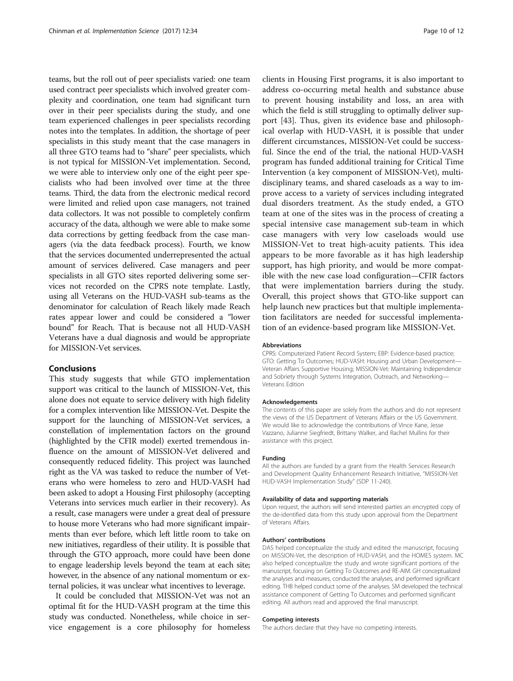teams, but the roll out of peer specialists varied: one team used contract peer specialists which involved greater complexity and coordination, one team had significant turn over in their peer specialists during the study, and one team experienced challenges in peer specialists recording notes into the templates. In addition, the shortage of peer specialists in this study meant that the case managers in all three GTO teams had to "share" peer specialists, which is not typical for MISSION-Vet implementation. Second, we were able to interview only one of the eight peer specialists who had been involved over time at the three teams. Third, the data from the electronic medical record were limited and relied upon case managers, not trained data collectors. It was not possible to completely confirm accuracy of the data, although we were able to make some data corrections by getting feedback from the case managers (via the data feedback process). Fourth, we know that the services documented underrepresented the actual amount of services delivered. Case managers and peer specialists in all GTO sites reported delivering some services not recorded on the CPRS note template. Lastly, using all Veterans on the HUD-VASH sub-teams as the denominator for calculation of Reach likely made Reach rates appear lower and could be considered a "lower bound" for Reach. That is because not all HUD-VASH Veterans have a dual diagnosis and would be appropriate for MISSION-Vet services.

## Conclusions

This study suggests that while GTO implementation support was critical to the launch of MISSION-Vet, this alone does not equate to service delivery with high fidelity for a complex intervention like MISSION-Vet. Despite the support for the launching of MISSION-Vet services, a constellation of implementation factors on the ground (highlighted by the CFIR model) exerted tremendous influence on the amount of MISSION-Vet delivered and consequently reduced fidelity. This project was launched right as the VA was tasked to reduce the number of Veterans who were homeless to zero and HUD-VASH had been asked to adopt a Housing First philosophy (accepting Veterans into services much earlier in their recovery). As a result, case managers were under a great deal of pressure to house more Veterans who had more significant impairments than ever before, which left little room to take on new initiatives, regardless of their utility. It is possible that through the GTO approach, more could have been done to engage leadership levels beyond the team at each site; however, in the absence of any national momentum or external policies, it was unclear what incentives to leverage.

It could be concluded that MISSION-Vet was not an optimal fit for the HUD-VASH program at the time this study was conducted. Nonetheless, while choice in service engagement is a core philosophy for homeless

clients in Housing First programs, it is also important to address co-occurring metal health and substance abuse to prevent housing instability and loss, an area with which the field is still struggling to optimally deliver support [\[43\]](#page-12-0). Thus, given its evidence base and philosophical overlap with HUD-VASH, it is possible that under different circumstances, MISSION-Vet could be successful. Since the end of the trial, the national HUD-VASH program has funded additional training for Critical Time Intervention (a key component of MISSION-Vet), multidisciplinary teams, and shared caseloads as a way to improve access to a variety of services including integrated dual disorders treatment. As the study ended, a GTO team at one of the sites was in the process of creating a special intensive case management sub-team in which case managers with very low caseloads would use MISSION-Vet to treat high-acuity patients. This idea appears to be more favorable as it has high leadership support, has high priority, and would be more compatible with the new case load configuration—CFIR factors that were implementation barriers during the study. Overall, this project shows that GTO-like support can help launch new practices but that multiple implementation facilitators are needed for successful implementation of an evidence-based program like MISSION-Vet.

#### Abbreviations

CPRS: Computerized Patient Record System; EBP: Evidence-based practice; GTO: Getting To Outcomes; HUD-VASH: Housing and Urban Development— Veteran Affairs Supportive Housing; MISSION-Vet: Maintaining Independence and Sobriety through Systems Integration, Outreach, and Networking— Veterans Edition

#### Acknowledgements

The contents of this paper are solely from the authors and do not represent the views of the US Department of Veterans Affairs or the US Government. We would like to acknowledge the contributions of Vince Kane, Jesse Vazzano, Julianne Siegfriedt, Brittany Walker, and Rachel Mullins for their assistance with this project.

#### Funding

All the authors are funded by a grant from the Health Services Research and Development Quality Enhancement Research Initiative, "MISSION-Vet HUD-VASH Implementation Study" (SDP 11-240).

#### Availability of data and supporting materials

Upon request, the authors will send interested parties an encrypted copy of the de-identified data from this study upon approval from the Department of Veterans Affairs.

#### Authors' contributions

DAS helped conceptualize the study and edited the manuscript, focusing on MISSION-Vet, the description of HUD-VASH, and the HOMES system. MC also helped conceptualize the study and wrote significant portions of the manuscript, focusing on Getting To Outcomes and RE-AIM. GH conceptualized the analyses and measures, conducted the analyses, and performed significant editing. THB helped conduct some of the analyses. SM developed the technical assistance component of Getting To Outcomes and performed significant editing. All authors read and approved the final manuscript.

#### Competing interests

The authors declare that they have no competing interests.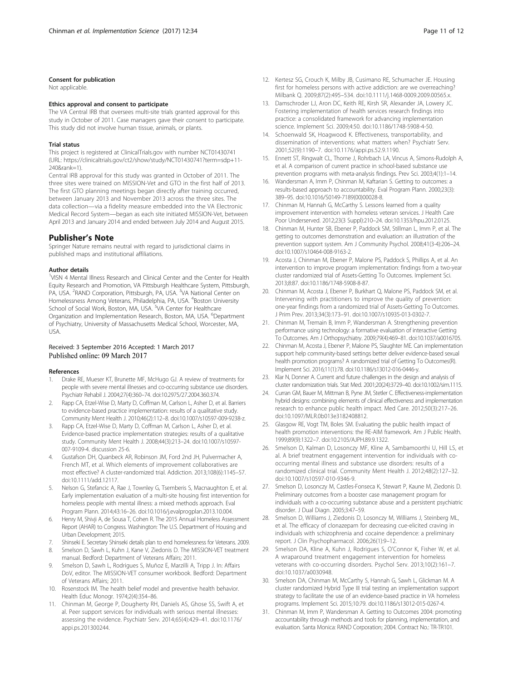#### <span id="page-11-0"></span>Consent for publication

Not applicable.

#### Ethics approval and consent to participate

The VA Central IRB that oversees multi-site trials granted approval for this study in October of 2011. Case managers gave their consent to participate. This study did not involve human tissue, animals, or plants.

#### Trial status

This project is registered at ClinicalTrials.gov with number NCT01430741 (URL: [https://clinicaltrials.gov/ct2/show/study/NCT01430741?term=sdp+11-](https://clinicaltrials.gov/ct2/show/study/NCT01430741?term=sdp+11-240&rank=1) [240&rank=1](https://clinicaltrials.gov/ct2/show/study/NCT01430741?term=sdp+11-240&rank=1)).

Central IRB approval for this study was granted in October of 2011. The three sites were trained on MISSION-Vet and GTO in the first half of 2013. The first GTO planning meetings began directly after training occurred, between January 2013 and November 2013 across the three sites. The data collection—via a fidelity measure embedded into the VA Electronic Medical Record System—began as each site initiated MISSION-Vet, between April 2013 and January 2014 and ended between July 2014 and August 2015.

## Publisher's Note

Springer Nature remains neutral with regard to jurisdictional claims in published maps and institutional affiliations.

#### Author details

<sup>1</sup>VISN 4 Mental Illness Research and Clinical Center and the Center for Health Equity Research and Promotion, VA Pittsburgh Healthcare System, Pittsburgh, PA, USA. <sup>2</sup>RAND Corporation, Pittsburgh, PA, USA. <sup>3</sup>VA National Center on Homelessness Among Veterans, Philadelphia, PA, USA. <sup>4</sup>Boston University School of Social Work, Boston, MA, USA. <sup>5</sup>VA Center for Healthcare Organization and Implementation Research, Boston, MA, USA. <sup>6</sup>Department of Psychiatry, University of Massachusetts Medical School, Worcester, MA, USA.

## Received: 3 September 2016 Accepted: 1 March 2017 Published online: 09 March 2017

#### References

- 1. Drake RE, Mueser KT, Brunette MF, McHugo GJ. A review of treatments for people with severe mental illnesses and co-occurring substance use disorders. Psychiatr Rehabil J. 2004;27(4):360–74. doi[:10.2975/27.2004.360.374.](http://dx.doi.org/10.2975/27.2004.360.374)
- 2. Rapp CA, Etzel-Wise D, Marty D, Coffman M, Carlson L, Asher D, et al. Barriers to evidence-based practice implementation: results of a qualitative study. Community Ment Health J. 2010;46(2):112–8. doi[:10.1007/s10597-009-9238-z.](http://dx.doi.org/10.1007/s10597-009-9238-z)
- Rapp CA, Etzel-Wise D, Marty D, Coffman M, Carlson L, Asher D, et al. Evidence-based practice implementation strategies: results of a qualitative study. Community Ment Health J. 2008;44(3):213–24. doi:[10.1007/s10597-](http://dx.doi.org/10.1007/s10597-007-9109-4) [007-9109-4](http://dx.doi.org/10.1007/s10597-007-9109-4). discussion 25-6.
- 4. Gustafson DH, Quanbeck AR, Robinson JM, Ford 2nd JH, Pulvermacher A, French MT, et al. Which elements of improvement collaboratives are most effective? A cluster-randomized trial. Addiction. 2013;108(6):1145–57. doi[:10.1111/add.12117](http://dx.doi.org/10.1111/add.12117).
- Nelson G, Stefancic A, Rae J, Townley G, Tsemberis S, Macnaughton E, et al. Early implementation evaluation of a multi-site housing first intervention for homeless people with mental illness: a mixed methods approach. Eval Program Plann. 2014;43:16–26. doi:[10.1016/j.evalprogplan.2013.10.004](http://dx.doi.org/10.1016/j.evalprogplan.2013.10.004).
- 6. Henry M, Shivji A, de Sousa T, Cohen R. The 2015 Annual Homeless Assessment Report (AHAR) to Congress. Washington: The U.S. Department of Housing and Urban Development; 2015.
- 7. Shinseki E. Secretary Shinseki details plan to end homelessness for Veterans. 2009.
- 8. Smelson D, Sawh L, Kuhn J, Kane V, Ziedonis D. The MISSION-VET treatment manual. Bedford: Department of Veterans Affairs; 2011.
- 9. Smelson D, Sawh L, Rodrigues S, Muñoz E, Marzilli A, Tripp J. In: Affairs DoV, editor. The MISSION-VET consumer workbook. Bedford: Department of Veterans Affairs; 2011.
- 10. Rosenstock IM. The health belief model and preventive health behavior. Health Educ Monogr. 1974;2(4):354–86.
- 11. Chinman M, George P, Dougherty RH, Daniels AS, Ghose SS, Swift A, et al. Peer support services for individuals with serious mental illnesses: assessing the evidence. Psychiatr Serv. 2014;65(4):429–41. doi:[10.1176/](http://dx.doi.org/10.1176/appi.ps.201300244) [appi.ps.201300244](http://dx.doi.org/10.1176/appi.ps.201300244).
- 12. Kertesz SG, Crouch K, Milby JB, Cusimano RE, Schumacher JE. Housing first for homeless persons with active addiction: are we overreaching?
- Milbank Q. 2009;87(2):495–534. doi:[10.1111/j.1468-0009.2009.00565.x.](http://dx.doi.org/10.1111/j.1468-0009.2009.00565.x) 13. Damschroder LJ, Aron DC, Keith RE, Kirsh SR, Alexander JA, Lowery JC. Fostering implementation of health services research findings into practice: a consolidated framework for advancing implementation science. Implement Sci. 2009;4:50. doi:[10.1186/1748-5908-4-50.](http://dx.doi.org/10.1186/1748-5908-4-50)
- 14. Schoenwald SK, Hoagwood K. Effectiveness, transportability, and dissemination of interventions: what matters when? Psychiatr Serv. 2001;52(9):1190–7. doi:[10.1176/appi.ps.52.9.1190.](http://dx.doi.org/10.1176/appi.ps.52.9.1190)
- 15. Ennett ST, Ringwalt CL, Thorne J, Rohrbach LA, Vincus A, Simons-Rudolph A, et al. A comparison of current practice in school-based substance use prevention programs with meta-analysis findings. Prev Sci. 2003;4(1):1–14.
- 16. Wandersman A, Imm P, Chinman M, Kaftarian S. Getting to outcomes: a results-based approach to accountability. Eval Program Plann. 2000;23(3): 389–95. doi:[10.1016/S0149-7189\(00\)00028-8.](http://dx.doi.org/10.1016/S0149-7189(00)00028-8)
- 17. Chinman M, Hannah G, McCarthy S. Lessons learned from a quality improvement intervention with homeless veteran services. J Health Care Poor Underserved. 2012;23(3 Suppl):210–24. doi[:10.1353/hpu.2012.0125](http://dx.doi.org/10.1353/hpu.2012.0125).
- 18. Chinman M, Hunter SB, Ebener P, Paddock SM, Stillman L, Imm P, et al. The getting to outcomes demonstration and evaluation: an illustration of the prevention support system. Am J Community Psychol. 2008;41(3-4):206–24. doi[:10.1007/s10464-008-9163-2](http://dx.doi.org/10.1007/s10464-008-9163-2).
- 19. Acosta J, Chinman M, Ebener P, Malone PS, Paddock S, Phillips A, et al. An intervention to improve program implementation: findings from a two-year cluster randomized trial of Assets-Getting To Outcomes. Implement Sci. 2013;8:87. doi:[10.1186/1748-5908-8-87.](http://dx.doi.org/10.1186/1748-5908-8-87)
- 20. Chinman M, Acosta J, Ebener P, Burkhart Q, Malone PS, Paddock SM, et al. Intervening with practitioners to improve the quality of prevention: one-year findings from a randomized trial of Assets-Getting To Outcomes. J Prim Prev. 2013;34(3):173–91. doi:[10.1007/s10935-013-0302-7](http://dx.doi.org/10.1007/s10935-013-0302-7).
- 21. Chinman M, Tremain B, Imm P, Wandersman A. Strengthening prevention performance using technology: a formative evaluation of interactive Getting To Outcomes. Am J Orthopsychiatry. 2009;79(4):469–81. doi:[10.1037/a0016705.](http://dx.doi.org/10.1037/a0016705)
- 22. Chinman M, Acosta J, Ebener P, Malone PS, Slaughter ME. Can implementation support help community-based settings better deliver evidence-based sexual health promotion programs? A randomized trial of Getting To Outcomes(R). Implement Sci. 2016;11(1):78. doi[:10.1186/s13012-016-0446-y.](http://dx.doi.org/10.1186/s13012-016-0446-y)
- 23. Klar N, Donner A. Current and future challenges in the design and analysis of cluster randomization trials. Stat Med. 2001;20(24):3729–40. doi[:10.1002/sim.1115.](http://dx.doi.org/10.1002/sim.1115)
- 24. Curran GM, Bauer M, Mittman B, Pyne JM, Stetler C. Effectiveness-implementation hybrid designs: combining elements of clinical effectiveness and implementation research to enhance public health impact. Med Care. 2012;50(3):217–26. doi[:10.1097/MLR.0b013e3182408812.](http://dx.doi.org/10.1097/MLR.0b013e3182408812)
- 25. Glasgow RE, Vogt TM, Boles SM. Evaluating the public health impact of health promotion interventions: the RE-AIM framework. Am J Public Health. 1999;89(9):1322–7. doi:[10.2105/AJPH.89.9.1322](http://dx.doi.org/10.2105/AJPH.89.9.1322).
- 26. Smelson D, Kalman D, Losonczy MF, Kline A, Sambamoorthi U, Hill LS, et al. A brief treatment engagement intervention for individuals with cooccurring mental illness and substance use disorders: results of a randomized clinical trial. Community Ment Health J. 2012;48(2):127–32. doi:[10.1007/s10597-010-9346-9.](http://dx.doi.org/10.1007/s10597-010-9346-9)
- 27. Smelson D, Losonczy M, Castles-Fonseca K, Stewart P, Kaune M, Ziedonis D. Preliminary outcomes from a booster case management program for individuals with a co-occurring substance abuse and a persistent psychiatric disorder. J Dual Diagn. 2005;3:47–59.
- 28. Smelson D, Williams J, Ziedonis D, Losonczy M, Williams J, Steinberg ML, et al. The efficacy of clonazepam for decreasing cue-elicited craving in individuals with schizophrenia and cocaine dependence: a preliminary report. J Clin Psychopharmacol. 2006;26(1):9–12.
- 29. Smelson DA, Kline A, Kuhn J, Rodrigues S, O'Connor K, Fisher W, et al. A wraparound treatment engagement intervention for homeless veterans with co-occurring disorders. Psychol Serv. 2013;10(2):161–7. doi:[10.1037/a0030948.](http://dx.doi.org/10.1037/a0030948)
- 30. Smelson DA, Chinman M, McCarthy S, Hannah G, Sawh L, Glickman M. A cluster randomized Hybrid Type III trial testing an implementation support strategy to facilitate the use of an evidence-based practice in VA homeless programs. Implement Sci. 2015;10:79. doi[:10.1186/s13012-015-0267-4](http://dx.doi.org/10.1186/s13012-015-0267-4).
- 31. Chinman M, Imm P, Wandersman A. Getting to Outcomes 2004: promoting accountability through methods and tools for planning, implementation, and evaluation. Santa Monica: RAND Corporation; 2004. Contract No.: TR-TR101.